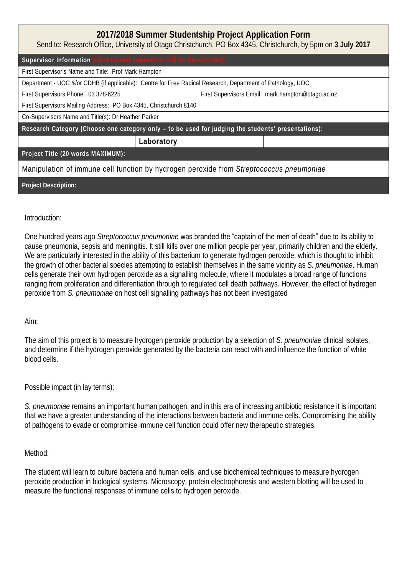| 2017/2018 Summer Studentship Project Application Form<br>Send to: Research Office, University of Otago Christchurch, PO Box 4345, Christchurch, by 5pm on 3 July 2017 |            |                                                   |  |  |
|-----------------------------------------------------------------------------------------------------------------------------------------------------------------------|------------|---------------------------------------------------|--|--|
| Supervisor Information (First named supervisor will be the contact):                                                                                                  |            |                                                   |  |  |
| First Supervisor's Name and Title: Prof Mark Hampton                                                                                                                  |            |                                                   |  |  |
| Department - UOC &/or CDHB (if applicable): Centre for Free Radical Research, Department of Pathology, UOC                                                            |            |                                                   |  |  |
| First Supervisors Phone: 03 378-6225                                                                                                                                  |            | First Supervisors Email: mark.hampton@otaqo.ac.nz |  |  |
| First Supervisors Mailing Address: PO Box 4345, Christchurch 8140                                                                                                     |            |                                                   |  |  |
| Co-Supervisors Name and Title(s): Dr Heather Parker                                                                                                                   |            |                                                   |  |  |
| Research Category (Choose one category only - to be used for judging the students' presentations):                                                                    |            |                                                   |  |  |
|                                                                                                                                                                       | Laboratory |                                                   |  |  |
| Project Title (20 words MAXIMUM):                                                                                                                                     |            |                                                   |  |  |
| Manipulation of immune cell function by hydrogen peroxide from Streptococcus pneumoniae                                                                               |            |                                                   |  |  |
| Project Description:                                                                                                                                                  |            |                                                   |  |  |

## Introduction:

One hundred years ago *Streptococcus pneumoniae* was branded the "captain of the men of death" due to its ability to cause pneumonia, sepsis and meningitis. It still kills over one million people per year, primarily children and the elderly. We are particularly interested in the ability of this bacterium to generate hydrogen peroxide, which is thought to inhibit the growth of other bacterial species attempting to establish themselves in the same vicinity as *S. pneumoniae*. Human cells generate their own hydrogen peroxide as a signalling molecule, where it modulates a broad range of functions ranging from proliferation and differentiation through to regulated cell death pathways. However, the effect of hydrogen peroxide from *S. pneumoniae* on host cell signalling pathways has not been investigated

## Aim:

The aim of this project is to measure hydrogen peroxide production by a selection of *S. pneumoniae* clinical isolates, and determine if the hydrogen peroxide generated by the bacteria can react with and influence the function of white blood cells.

Possible impact (in lay terms):

*S. pneumoniae* remains an important human pathogen, and in this era of increasing antibiotic resistance it is important that we have a greater understanding of the interactions between bacteria and immune cells. Compromising the ability of pathogens to evade or compromise immune cell function could offer new therapeutic strategies.

## Method:

The student will learn to culture bacteria and human cells, and use biochemical techniques to measure hydrogen peroxide production in biological systems. Microscopy, protein electrophoresis and western blotting will be used to measure the functional responses of immune cells to hydrogen peroxide.